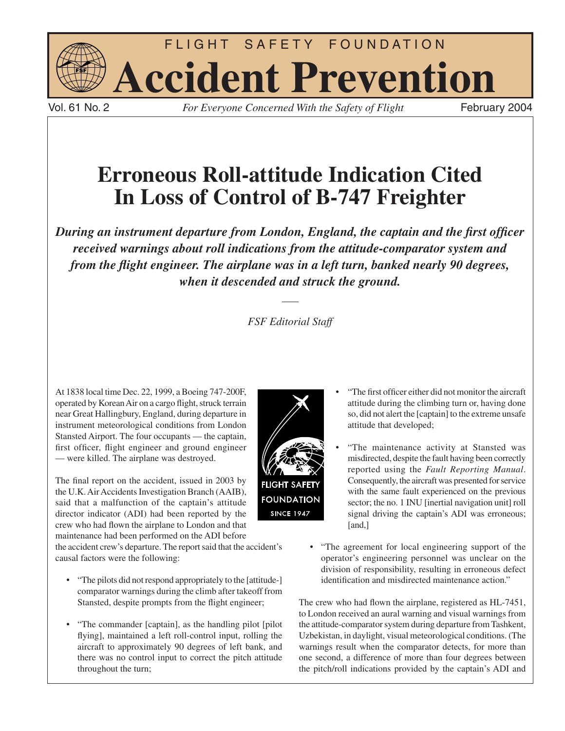

Vol. 61 No. 2 *For Everyone Concerned With the Safety of Flight* February 2004

# **Erroneous Roll-attitude Indication Cited In Loss of Control of B-747 Freighter**

*During an instrument departure from London, England, the captain and the first officer received warnings about roll indications from the attitude-comparator system and from the flight engineer. The airplane was in a left turn, banked nearly 90 degrees, when it descended and struck the ground.*

## *FSF Editorial Staff*

At 1838 local time Dec. 22, 1999, a Boeing 747-200F, operated by Korean Air on a cargo flight, struck terrain near Great Hallingbury, England, during departure in instrument meteorological conditions from London Stansted Airport. The four occupants — the captain, first officer, flight engineer and ground engineer — were killed. The airplane was destroyed.

The final report on the accident, issued in 2003 by the U.K. Air Accidents Investigation Branch (AAIB), said that a malfunction of the captain's attitude director indicator (ADI) had been reported by the crew who had flown the airplane to London and that maintenance had been performed on the ADI before

the accident crew's departure. The report said that the accident's causal factors were the following:

- "The pilots did not respond appropriately to the [attitude-] comparator warnings during the climb after takeoff from Stansted, despite prompts from the flight engineer;
- "The commander [captain], as the handling pilot [pilot flying], maintained a left roll-control input, rolling the aircraft to approximately 90 degrees of left bank, and there was no control input to correct the pitch attitude throughout the turn;



- "The first officer either did not monitor the aircraft attitude during the climbing turn or, having done so, did not alert the [captain] to the extreme unsafe attitude that developed;
- "The maintenance activity at Stansted was misdirected, despite the fault having been correctly reported using the *Fault Reporting Manual*. Consequently, the aircraft was presented for service with the same fault experienced on the previous sector; the no. 1 INU [inertial navigation unit] roll signal driving the captain's ADI was erroneous; [and,]
- "The agreement for local engineering support of the operator's engineering personnel was unclear on the division of responsibility, resulting in erroneous defect identification and misdirected maintenance action."

The crew who had flown the airplane, registered as HL-7451, to London received an aural warning and visual warnings from the attitude-comparator system during departure from Tashkent, Uzbekistan, in daylight, visual meteorological conditions. (The warnings result when the comparator detects, for more than one second, a difference of more than four degrees between the pitch/roll indications provided by the captain's ADI and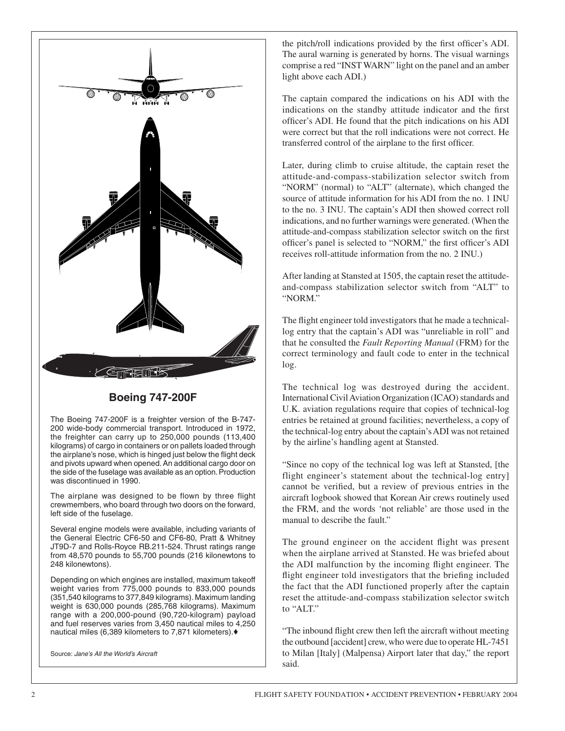

### **Boeing 747-200F**

The Boeing 747-200F is a freighter version of the B-747- 200 wide-body commercial transport. Introduced in 1972, the freighter can carry up to 250,000 pounds (113,400 kilograms) of cargo in containers or on pallets loaded through the airplane's nose, which is hinged just below the flight deck and pivots upward when opened. An additional cargo door on the side of the fuselage was available as an option. Production was discontinued in 1990.

The airplane was designed to be flown by three flight crewmembers, who board through two doors on the forward, left side of the fuselage.

Several engine models were available, including variants of the General Electric CF6-50 and CF6-80, Pratt & Whitney JT9D-7 and Rolls-Royce RB.211-524. Thrust ratings range from 48,570 pounds to 55,700 pounds (216 kilonewtons to 248 kilonewtons).

Depending on which engines are installed, maximum takeoff weight varies from 775,000 pounds to 833,000 pounds (351,540 kilograms to 377,849 kilograms). Maximum landing weight is 630,000 pounds (285,768 kilograms). Maximum range with a 200,000-pound (90,720-kilogram) payload and fuel reserves varies from 3,450 nautical miles to 4,250 nautical miles (6,389 kilometers to 7,871 kilometers).♦

Source: *Jane's All the World's Aircraft*

the pitch/roll indications provided by the first officer's ADI. The aural warning is generated by horns. The visual warnings comprise a red "INST WARN" light on the panel and an amber light above each ADI.)

The captain compared the indications on his ADI with the indications on the standby attitude indicator and the first officer's ADI. He found that the pitch indications on his ADI were correct but that the roll indications were not correct. He transferred control of the airplane to the first officer.

Later, during climb to cruise altitude, the captain reset the attitude-and-compass-stabilization selector switch from "NORM" (normal) to "ALT" (alternate), which changed the source of attitude information for his ADI from the no. 1 INU to the no. 3 INU. The captain's ADI then showed correct roll indications, and no further warnings were generated. (When the attitude-and-compass stabilization selector switch on the first officer's panel is selected to "NORM," the first officer's ADI receives roll-attitude information from the no. 2 INU.)

After landing at Stansted at 1505, the captain reset the attitudeand-compass stabilization selector switch from "ALT" to "NORM."

The flight engineer told investigators that he made a technicallog entry that the captain's ADI was "unreliable in roll" and that he consulted the *Fault Reporting Manual* (FRM) for the correct terminology and fault code to enter in the technical log.

The technical log was destroyed during the accident. International Civil Aviation Organization (ICAO) standards and U.K. aviation regulations require that copies of technical-log entries be retained at ground facilities; nevertheless, a copy of the technical-log entry about the captain's ADI was not retained by the airline's handling agent at Stansted.

"Since no copy of the technical log was left at Stansted, [the flight engineer's statement about the technical-log entry] cannot be verified, but a review of previous entries in the aircraft logbook showed that Korean Air crews routinely used the FRM, and the words 'not reliable' are those used in the manual to describe the fault."

The ground engineer on the accident flight was present when the airplane arrived at Stansted. He was briefed about the ADI malfunction by the incoming flight engineer. The flight engineer told investigators that the briefing included the fact that the ADI functioned properly after the captain reset the attitude-and-compass stabilization selector switch to "ALT."

"The inbound flight crew then left the aircraft without meeting the outbound [accident] crew, who were due to operate HL-7451 to Milan [Italy] (Malpensa) Airport later that day," the report said.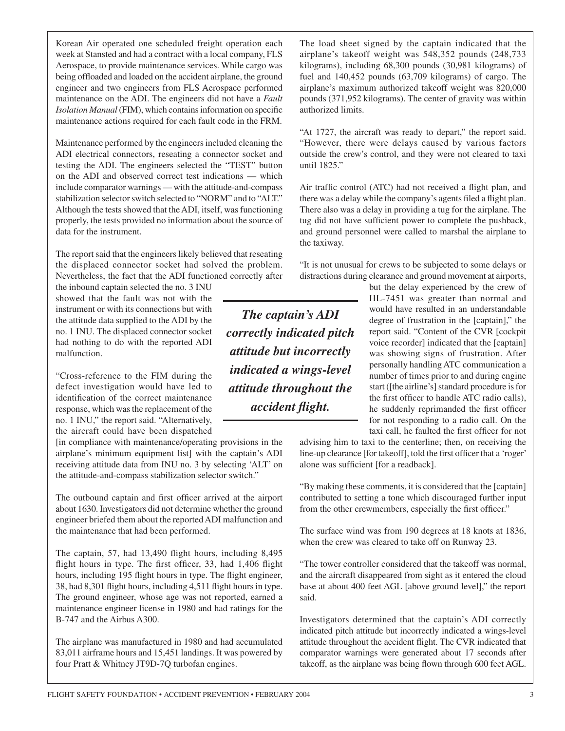Korean Air operated one scheduled freight operation each week at Stansted and had a contract with a local company, FLS Aerospace, to provide maintenance services. While cargo was being offloaded and loaded on the accident airplane, the ground engineer and two engineers from FLS Aerospace performed maintenance on the ADI. The engineers did not have a *Fault Isolation Manual* (FIM), which contains information on specific maintenance actions required for each fault code in the FRM.

Maintenance performed by the engineers included cleaning the ADI electrical connectors, reseating a connector socket and testing the ADI. The engineers selected the "TEST" button on the ADI and observed correct test indications — which include comparator warnings — with the attitude-and-compass stabilization selector switch selected to "NORM" and to "ALT." Although the tests showed that the ADI, itself, was functioning properly, the tests provided no information about the source of data for the instrument.

The report said that the engineers likely believed that reseating the displaced connector socket had solved the problem. Nevertheless, the fact that the ADI functioned correctly after

the inbound captain selected the no. 3 INU showed that the fault was not with the instrument or with its connections but with the attitude data supplied to the ADI by the no. 1 INU. The displaced connector socket had nothing to do with the reported ADI malfunction.

"Cross-reference to the FIM during the defect investigation would have led to identification of the correct maintenance response, which was the replacement of the no. 1 INU," the report said. "Alternatively, the aircraft could have been dispatched

[in compliance with maintenance/operating provisions in the airplane's minimum equipment list] with the captain's ADI receiving attitude data from INU no. 3 by selecting 'ALT' on the attitude-and-compass stabilization selector switch."

The outbound captain and first officer arrived at the airport about 1630. Investigators did not determine whether the ground engineer briefed them about the reported ADI malfunction and the maintenance that had been performed.

The captain, 57, had 13,490 flight hours, including 8,495 flight hours in type. The first officer, 33, had 1,406 flight hours, including 195 flight hours in type. The flight engineer, 38, had 8,301 flight hours, including 4,511 flight hours in type. The ground engineer, whose age was not reported, earned a maintenance engineer license in 1980 and had ratings for the B-747 and the Airbus A300.

The airplane was manufactured in 1980 and had accumulated 83,011 airframe hours and 15,451 landings. It was powered by four Pratt & Whitney JT9D-7Q turbofan engines.

The load sheet signed by the captain indicated that the airplane's takeoff weight was 548,352 pounds (248,733 kilograms), including 68,300 pounds (30,981 kilograms) of fuel and 140,452 pounds (63,709 kilograms) of cargo. The airplane's maximum authorized takeoff weight was 820,000 pounds (371,952 kilograms). The center of gravity was within authorized limits.

"At 1727, the aircraft was ready to depart," the report said. "However, there were delays caused by various factors outside the crew's control, and they were not cleared to taxi until 1825."

Air traffic control (ATC) had not received a flight plan, and there was a delay while the company's agents filed a flight plan. There also was a delay in providing a tug for the airplane. The tug did not have sufficient power to complete the pushback, and ground personnel were called to marshal the airplane to the taxiway.

"It is not unusual for crews to be subjected to some delays or distractions during clearance and ground movement at airports,

> but the delay experienced by the crew of HL-7451 was greater than normal and would have resulted in an understandable degree of frustration in the [captain]," the report said. "Content of the CVR [cockpit voice recorder] indicated that the [captain] was showing signs of frustration. After personally handling ATC communication a number of times prior to and during engine start ([the airline's] standard procedure is for the first officer to handle ATC radio calls), he suddenly reprimanded the first officer for not responding to a radio call. On the taxi call, he faulted the first officer for not

advising him to taxi to the centerline; then, on receiving the line-up clearance [for takeoff], told the first officer that a 'roger' alone was sufficient [for a readback].

"By making these comments, it is considered that the [captain] contributed to setting a tone which discouraged further input from the other crewmembers, especially the first officer."

The surface wind was from 190 degrees at 18 knots at 1836, when the crew was cleared to take off on Runway 23.

"The tower controller considered that the takeoff was normal, and the aircraft disappeared from sight as it entered the cloud base at about 400 feet AGL [above ground level]," the report said.

Investigators determined that the captain's ADI correctly indicated pitch attitude but incorrectly indicated a wings-level attitude throughout the accident flight. The CVR indicated that comparator warnings were generated about 17 seconds after takeoff, as the airplane was being flown through 600 feet AGL.

*The captain's ADI correctly indicated pitch attitude but incorrectly indicated a wings-level attitude throughout the accident flight.*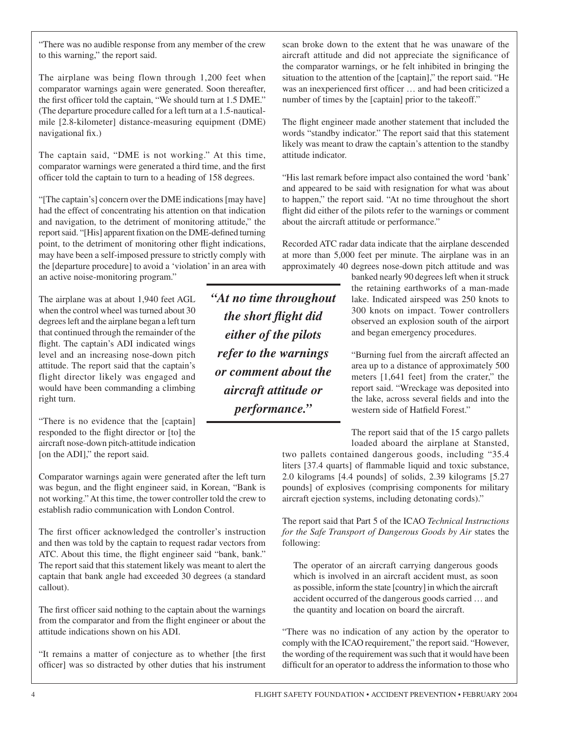"There was no audible response from any member of the crew to this warning," the report said.

The airplane was being flown through 1,200 feet when comparator warnings again were generated. Soon thereafter, the first officer told the captain, "We should turn at 1.5 DME." (The departure procedure called for a left turn at a 1.5-nauticalmile [2.8-kilometer] distance-measuring equipment (DME) navigational fix.)

The captain said, "DME is not working." At this time, comparator warnings were generated a third time, and the first officer told the captain to turn to a heading of 158 degrees.

"[The captain's] concern over the DME indications [may have] had the effect of concentrating his attention on that indication and navigation, to the detriment of monitoring attitude," the report said. "[His] apparent fixation on the DME-defined turning point, to the detriment of monitoring other flight indications, may have been a self-imposed pressure to strictly comply with the [departure procedure] to avoid a 'violation' in an area with an active noise-monitoring program."

The airplane was at about 1,940 feet AGL when the control wheel was turned about 30 degrees left and the airplane began a left turn that continued through the remainder of the flight. The captain's ADI indicated wings level and an increasing nose-down pitch attitude. The report said that the captain's flight director likely was engaged and would have been commanding a climbing right turn.

"There is no evidence that the [captain] responded to the flight director or [to] the aircraft nose-down pitch-attitude indication [on the ADI]," the report said.

Comparator warnings again were generated after the left turn was begun, and the flight engineer said, in Korean, "Bank is not working." At this time, the tower controller told the crew to establish radio communication with London Control.

The first officer acknowledged the controller's instruction and then was told by the captain to request radar vectors from ATC. About this time, the flight engineer said "bank, bank." The report said that this statement likely was meant to alert the captain that bank angle had exceeded 30 degrees (a standard callout).

The first officer said nothing to the captain about the warnings from the comparator and from the flight engineer or about the attitude indications shown on his ADI.

"It remains a matter of conjecture as to whether [the first officer] was so distracted by other duties that his instrument

*"At no time throughout the short flight did either of the pilots refer to the warnings or comment about the aircraft attitude or performance."*

scan broke down to the extent that he was unaware of the aircraft attitude and did not appreciate the significance of the comparator warnings, or he felt inhibited in bringing the situation to the attention of the [captain]," the report said. "He was an inexperienced first officer … and had been criticized a number of times by the [captain] prior to the takeoff."

The flight engineer made another statement that included the words "standby indicator." The report said that this statement likely was meant to draw the captain's attention to the standby attitude indicator.

"His last remark before impact also contained the word 'bank' and appeared to be said with resignation for what was about to happen," the report said. "At no time throughout the short flight did either of the pilots refer to the warnings or comment about the aircraft attitude or performance."

Recorded ATC radar data indicate that the airplane descended at more than 5,000 feet per minute. The airplane was in an approximately 40 degrees nose-down pitch attitude and was

banked nearly 90 degrees left when it struck the retaining earthworks of a man-made lake. Indicated airspeed was 250 knots to 300 knots on impact. Tower controllers observed an explosion south of the airport and began emergency procedures.

"Burning fuel from the aircraft affected an area up to a distance of approximately 500 meters [1,641 feet] from the crater," the report said. "Wreckage was deposited into the lake, across several fields and into the western side of Hatfield Forest."

The report said that of the 15 cargo pallets

loaded aboard the airplane at Stansted, two pallets contained dangerous goods, including "35.4 liters [37.4 quarts] of flammable liquid and toxic substance, 2.0 kilograms [4.4 pounds] of solids, 2.39 kilograms [5.27 pounds] of explosives (comprising components for military aircraft ejection systems, including detonating cords)."

The report said that Part 5 of the ICAO *Technical Instructions for the Safe Transport of Dangerous Goods by Air* states the following:

The operator of an aircraft carrying dangerous goods which is involved in an aircraft accident must, as soon as possible, inform the state [country] in which the aircraft accident occurred of the dangerous goods carried … and the quantity and location on board the aircraft.

"There was no indication of any action by the operator to comply with the ICAO requirement," the report said. "However, the wording of the requirement was such that it would have been difficult for an operator to address the information to those who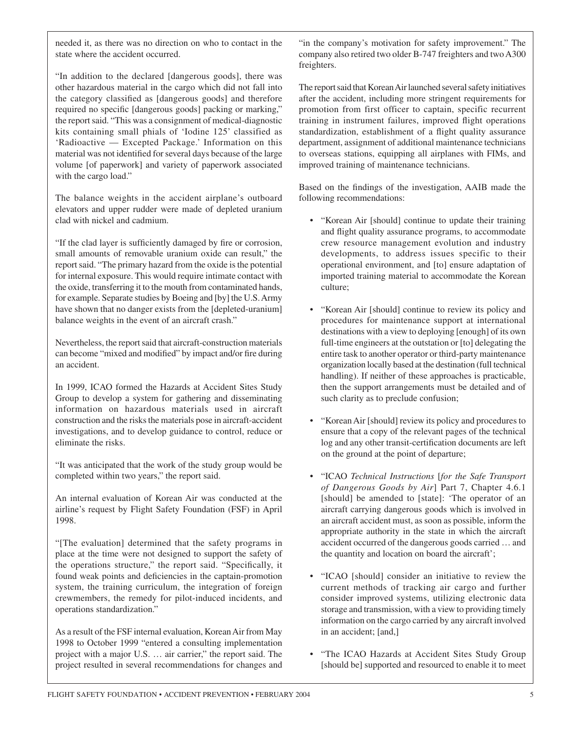needed it, as there was no direction on who to contact in the state where the accident occurred.

"In addition to the declared [dangerous goods], there was other hazardous material in the cargo which did not fall into the category classified as [dangerous goods] and therefore required no specific [dangerous goods] packing or marking," the report said. "This was a consignment of medical-diagnostic kits containing small phials of 'Iodine 125' classified as 'Radioactive — Excepted Package.' Information on this material was not identified for several days because of the large volume [of paperwork] and variety of paperwork associated with the cargo load."

The balance weights in the accident airplane's outboard elevators and upper rudder were made of depleted uranium clad with nickel and cadmium.

"If the clad layer is sufficiently damaged by fire or corrosion, small amounts of removable uranium oxide can result," the report said. "The primary hazard from the oxide is the potential for internal exposure. This would require intimate contact with the oxide, transferring it to the mouth from contaminated hands, for example. Separate studies by Boeing and [by] the U.S. Army have shown that no danger exists from the [depleted-uranium] balance weights in the event of an aircraft crash."

Nevertheless, the report said that aircraft-construction materials can become "mixed and modified" by impact and/or fire during an accident.

In 1999, ICAO formed the Hazards at Accident Sites Study Group to develop a system for gathering and disseminating information on hazardous materials used in aircraft construction and the risks the materials pose in aircraft-accident investigations, and to develop guidance to control, reduce or eliminate the risks.

"It was anticipated that the work of the study group would be completed within two years," the report said.

An internal evaluation of Korean Air was conducted at the airline's request by Flight Safety Foundation (FSF) in April 1998.

"[The evaluation] determined that the safety programs in place at the time were not designed to support the safety of the operations structure," the report said. "Specifically, it found weak points and deficiencies in the captain-promotion system, the training curriculum, the integration of foreign crewmembers, the remedy for pilot-induced incidents, and operations standardization."

As a result of the FSF internal evaluation, Korean Air from May 1998 to October 1999 "entered a consulting implementation project with a major U.S. … air carrier," the report said. The project resulted in several recommendations for changes and

"in the company's motivation for safety improvement." The company also retired two older B-747 freighters and two A300 freighters.

The report said that Korean Air launched several safety initiatives after the accident, including more stringent requirements for promotion from first officer to captain, specific recurrent training in instrument failures, improved flight operations standardization, establishment of a flight quality assurance department, assignment of additional maintenance technicians to overseas stations, equipping all airplanes with FIMs, and improved training of maintenance technicians.

Based on the findings of the investigation, AAIB made the following recommendations:

- "Korean Air [should] continue to update their training and flight quality assurance programs, to accommodate crew resource management evolution and industry developments, to address issues specific to their operational environment, and [to] ensure adaptation of imported training material to accommodate the Korean culture;
- "Korean Air [should] continue to review its policy and procedures for maintenance support at international destinations with a view to deploying [enough] of its own full-time engineers at the outstation or [to] delegating the entire task to another operator or third-party maintenance organization locally based at the destination (full technical handling). If neither of these approaches is practicable, then the support arrangements must be detailed and of such clarity as to preclude confusion;
- "Korean Air [should] review its policy and procedures to ensure that a copy of the relevant pages of the technical log and any other transit-certification documents are left on the ground at the point of departure;
- "ICAO *Technical Instructions* [*for the Safe Transport of Dangerous Goods by Air*] Part 7, Chapter 4.6.1 [should] be amended to [state]: 'The operator of an aircraft carrying dangerous goods which is involved in an aircraft accident must, as soon as possible, inform the appropriate authority in the state in which the aircraft accident occurred of the dangerous goods carried … and the quantity and location on board the aircraft';
- "ICAO [should] consider an initiative to review the current methods of tracking air cargo and further consider improved systems, utilizing electronic data storage and transmission, with a view to providing timely information on the cargo carried by any aircraft involved in an accident; [and,]
- "The ICAO Hazards at Accident Sites Study Group [should be] supported and resourced to enable it to meet